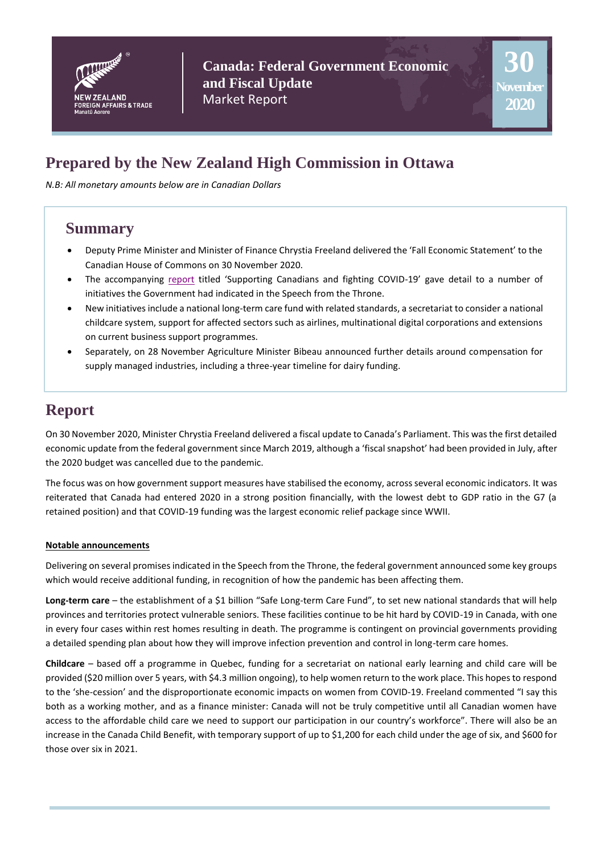

**Canada: Federal Government Economic and Fiscal Update** Market Report



# **Prepared by the New Zealand High Commission in Ottawa**

*N.B: All monetary amounts below are in Canadian Dollars*

### **Summary**

- Deputy Prime Minister and Minister of Finance Chrystia Freeland delivered the 'Fall Economic Statement' to the Canadian House of Commons on 30 November 2020.
- The accompanying [report](https://www.budget.gc.ca/fes-eea/2020/report-rapport/toc-tdm-en.html) titled 'Supporting Canadians and fighting COVID-19' gave detail to a number of initiatives the Government had indicated in the Speech from the Throne.
- New initiatives include a national long-term care fund with related standards, a secretariat to consider a national childcare system, support for affected sectors such as airlines, multinational digital corporations and extensions on current business support programmes.
- Separately, on 28 November Agriculture Minister Bibeau announced further details around compensation for supply managed industries, including a three-year timeline for dairy funding.

# **Report**

On 30 November 2020, Minister Chrystia Freeland delivered a fiscal update to Canada's Parliament. This was the first detailed economic update from the federal government since March 2019, although a 'fiscal snapshot' had been provided in July, after the 2020 budget was cancelled due to the pandemic.

The focus was on how government support measures have stabilised the economy, across several economic indicators. It was reiterated that Canada had entered 2020 in a strong position financially, with the lowest debt to GDP ratio in the G7 (a retained position) and that COVID-19 funding was the largest economic relief package since WWII.

#### **Notable announcements**

Delivering on several promises indicated in the Speech from the Throne, the federal government announced some key groups which would receive additional funding, in recognition of how the pandemic has been affecting them.

**Long-term care** – the establishment of a \$1 billion "Safe Long-term Care Fund", to set new national standards that will help provinces and territories protect vulnerable seniors. These facilities continue to be hit hard by COVID-19 in Canada, with one in every four cases within rest homes resulting in death. The programme is contingent on provincial governments providing a detailed spending plan about how they will improve infection prevention and control in long-term care homes.

**Childcare** – based off a programme in Quebec, funding for a secretariat on national early learning and child care will be provided (\$20 million over 5 years, with \$4.3 million ongoing), to help women return to the work place. This hopes to respond to the 'she-cession' and the disproportionate economic impacts on women from COVID-19. Freeland commented "I say this both as a working mother, and as a finance minister: Canada will not be truly competitive until all Canadian women have access to the affordable child care we need to support our participation in our country's workforce". There will also be an increase in the Canada Child Benefit, with temporary support of up to \$1,200 for each child under the age of six, and \$600 for those over six in 2021.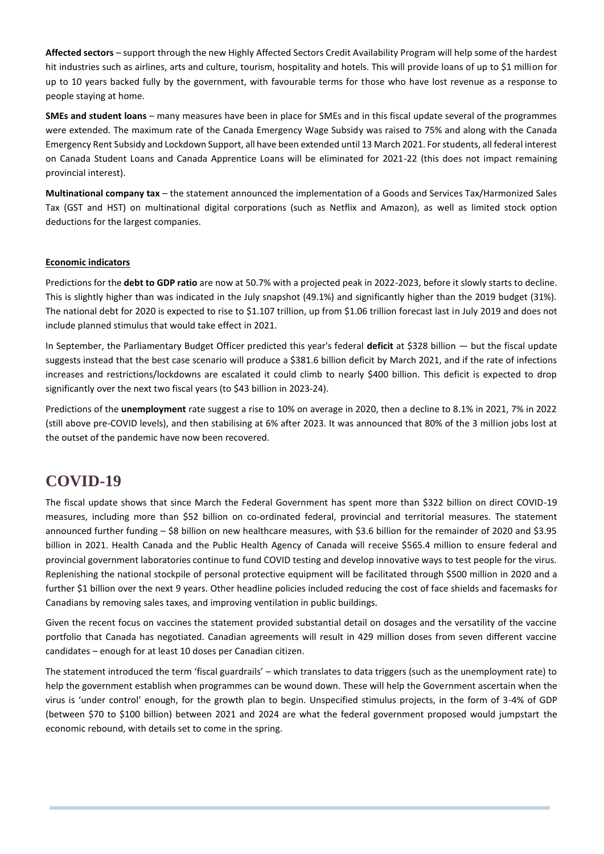**Affected sectors** – support through the new Highly Affected Sectors Credit Availability Program will help some of the hardest hit industries such as airlines, arts and culture, tourism, hospitality and hotels. This will provide loans of up to \$1 million for up to 10 years backed fully by the government, with favourable terms for those who have lost revenue as a response to people staying at home.

**SMEs and student loans** – many measures have been in place for SMEs and in this fiscal update several of the programmes were extended. The maximum rate of the Canada Emergency Wage Subsidy was raised to 75% and along with the Canada Emergency Rent Subsidy and Lockdown Support, all have been extended until 13 March 2021. For students, all federal interest on Canada Student Loans and Canada Apprentice Loans will be eliminated for 2021-22 (this does not impact remaining provincial interest).

**Multinational company tax** – the statement announced the implementation of a Goods and Services Tax/Harmonized Sales Tax (GST and HST) on multinational digital corporations (such as Netflix and Amazon), as well as limited stock option deductions for the largest companies.

#### **Economic indicators**

Predictions for the **debt to GDP ratio** are now at 50.7% with a projected peak in 2022-2023, before it slowly starts to decline. This is slightly higher than was indicated in the July snapshot (49.1%) and significantly higher than the 2019 budget (31%). The national debt for 2020 is expected to rise to \$1.107 trillion, up from \$1.06 trillion forecast last in July 2019 and does not include planned stimulus that would take effect in 2021.

In September, the Parliamentary Budget Officer predicted this year's federal **deficit** at \$328 billion — but the fiscal update suggests instead that the best case scenario will produce a \$381.6 billion deficit by March 2021, and if the rate of infections increases and restrictions/lockdowns are escalated it could climb to nearly \$400 billion. This deficit is expected to drop significantly over the next two fiscal years (to \$43 billion in 2023-24).

Predictions of the **unemployment** rate suggest a rise to 10% on average in 2020, then a decline to 8.1% in 2021, 7% in 2022 (still above pre-COVID levels), and then stabilising at 6% after 2023. It was announced that 80% of the 3 million jobs lost at the outset of the pandemic have now been recovered.

## **COVID-19**

The fiscal update shows that since March the Federal Government has spent more than \$322 billion on direct COVID-19 measures, including more than \$52 billion on co-ordinated federal, provincial and territorial measures. The statement announced further funding – \$8 billion on new healthcare measures, with \$3.6 billion for the remainder of 2020 and \$3.95 billion in 2021. Health Canada and the Public Health Agency of Canada will receive \$565.4 million to ensure federal and provincial government laboratories continue to fund COVID testing and develop innovative ways to test people for the virus. Replenishing the national stockpile of personal protective equipment will be facilitated through \$500 million in 2020 and a further \$1 billion over the next 9 years. Other headline policies included reducing the cost of face shields and facemasks for Canadians by removing sales taxes, and improving ventilation in public buildings.

Given the recent focus on vaccines the statement provided substantial detail on dosages and the versatility of the vaccine portfolio that Canada has negotiated. Canadian agreements will result in 429 million doses from seven different vaccine candidates – enough for at least 10 doses per Canadian citizen.

The statement introduced the term 'fiscal guardrails' – which translates to data triggers (such as the unemployment rate) to help the government establish when programmes can be wound down. These will help the Government ascertain when the virus is 'under control' enough, for the growth plan to begin. Unspecified stimulus projects, in the form of 3-4% of GDP (between \$70 to \$100 billion) between 2021 and 2024 are what the federal government proposed would jumpstart the economic rebound, with details set to come in the spring.